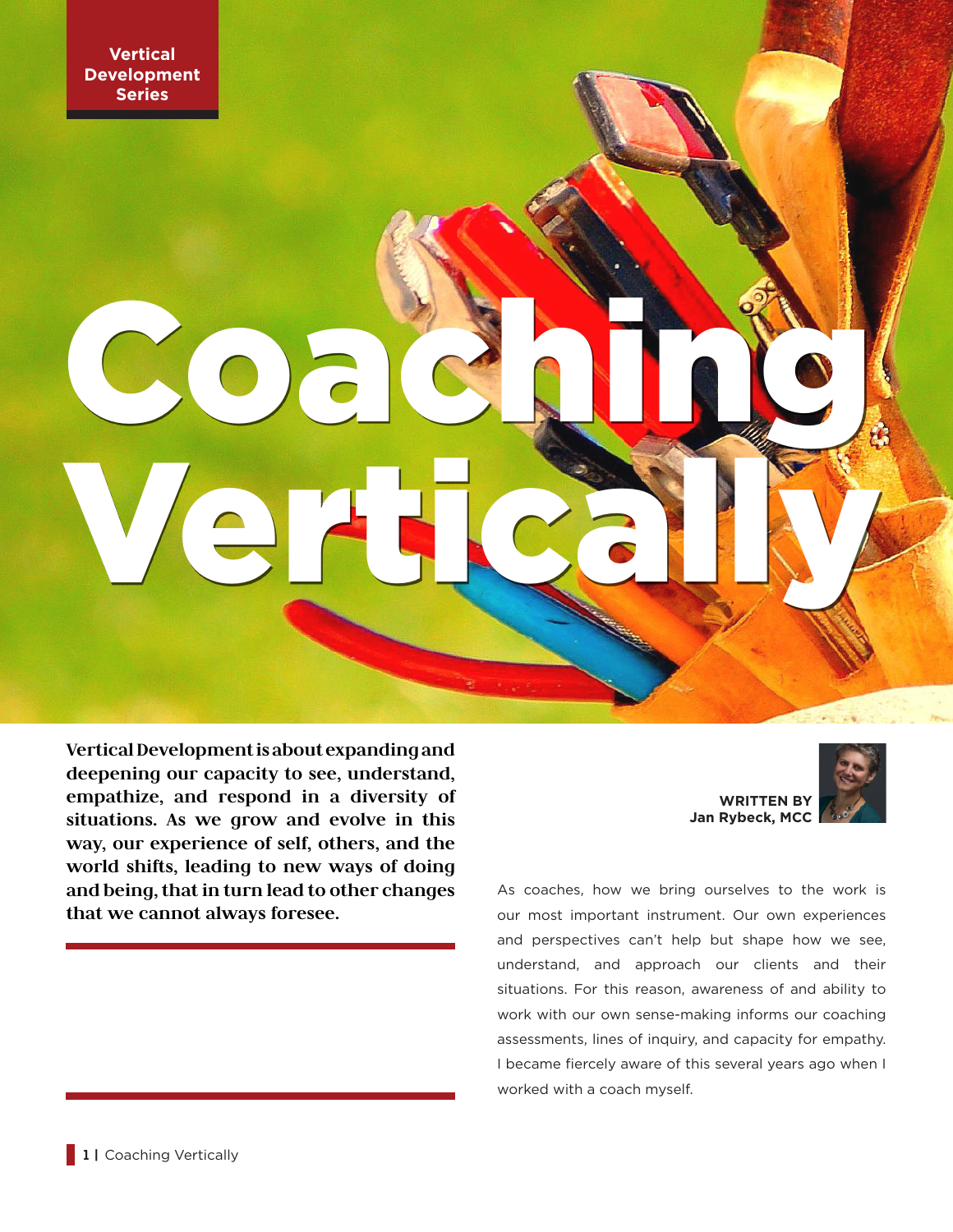**Vertical Development is about expanding and deepening our capacity to see, understand, empathize, and respond in a diversity of situations. As we grow and evolve in this way, our experience of self, others, and the world shifts, leading to new ways of doing and being, that in turn lead to other changes that we cannot always foresee.**

Coaching in

Vertically

**WRITTEN BY Jan Rybeck, MCC**



As coaches, how we bring ourselves to the work is our most important instrument. Our own experiences and perspectives can't help but shape how we see, understand, and approach our clients and their situations. For this reason, awareness of and ability to work with our own sense-making informs our coaching assessments, lines of inquiry, and capacity for empathy. I became fiercely aware of this several years ago when I worked with a coach myself.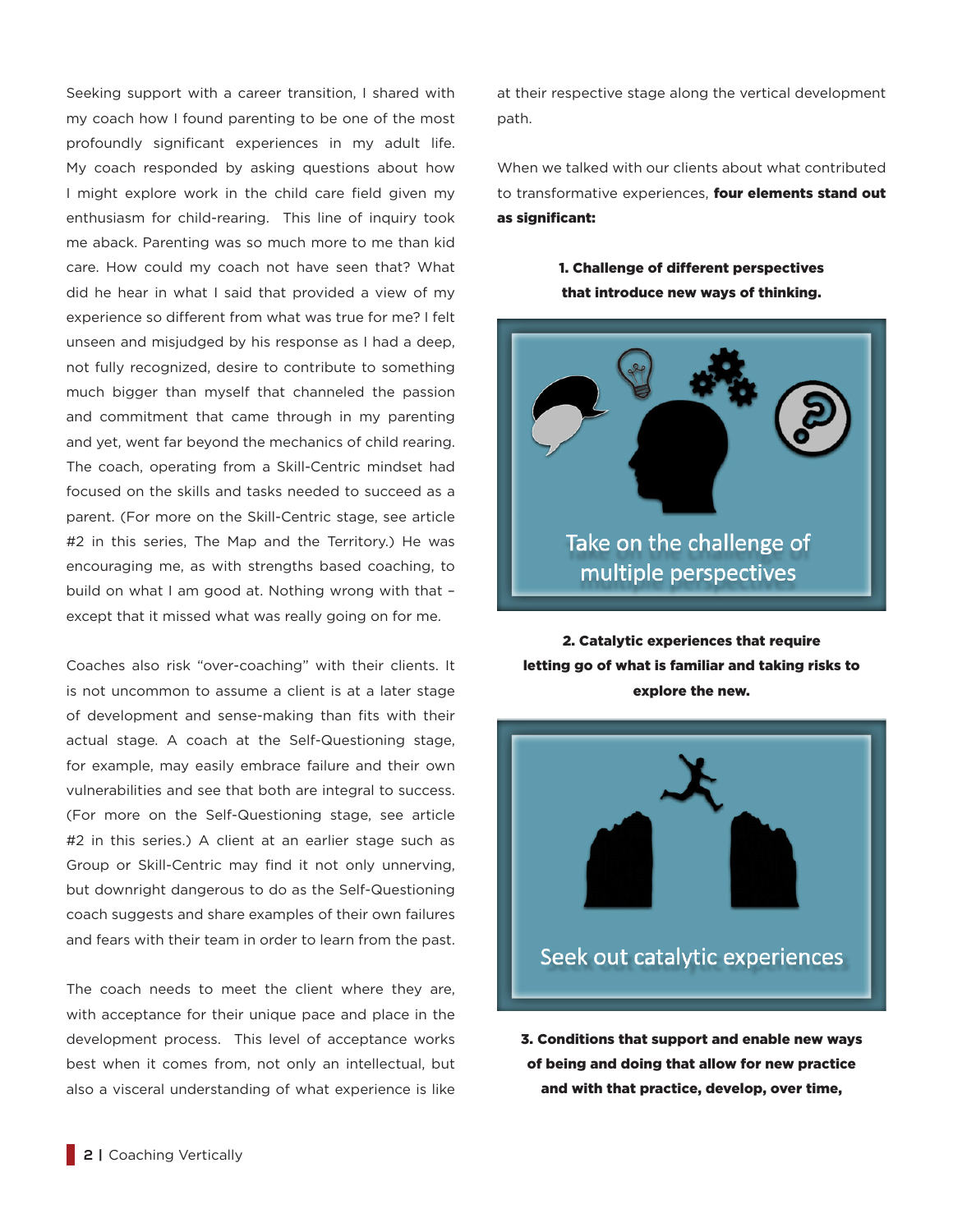Seeking support with a career transition, I shared with my coach how I found parenting to be one of the most profoundly significant experiences in my adult life. My coach responded by asking questions about how I might explore work in the child care field given my enthusiasm for child-rearing. This line of inquiry took me aback. Parenting was so much more to me than kid care. How could my coach not have seen that? What did he hear in what I said that provided a view of my experience so different from what was true for me? I felt unseen and misjudged by his response as I had a deep, not fully recognized, desire to contribute to something much bigger than myself that channeled the passion and commitment that came through in my parenting and yet, went far beyond the mechanics of child rearing. The coach, operating from a Skill-Centric mindset had focused on the skills and tasks needed to succeed as a parent. (For more on the Skill-Centric stage, see article #2 in this series, The Map and the Territory.) He was encouraging me, as with strengths based coaching, to build on what I am good at. Nothing wrong with that – except that it missed what was really going on for me.

Coaches also risk "over-coaching" with their clients. It is not uncommon to assume a client is at a later stage of development and sense-making than fits with their actual stage. A coach at the Self-Questioning stage, for example, may easily embrace failure and their own vulnerabilities and see that both are integral to success. (For more on the Self-Questioning stage, see article #2 in this series.) A client at an earlier stage such as Group or Skill-Centric may find it not only unnerving, but downright dangerous to do as the Self-Questioning coach suggests and share examples of their own failures and fears with their team in order to learn from the past.

The coach needs to meet the client where they are, with acceptance for their unique pace and place in the development process. This level of acceptance works best when it comes from, not only an intellectual, but also a visceral understanding of what experience is like at their respective stage along the vertical development path.

When we talked with our clients about what contributed to transformative experiences. **four elements stand out** as significant:

> 1. Challenge of different perspectives that introduce new ways of thinking.



2. Catalytic experiences that require letting go of what is familiar and taking risks to explore the new.



3. Conditions that support and enable new ways of being and doing that allow for new practice and with that practice, develop, over time,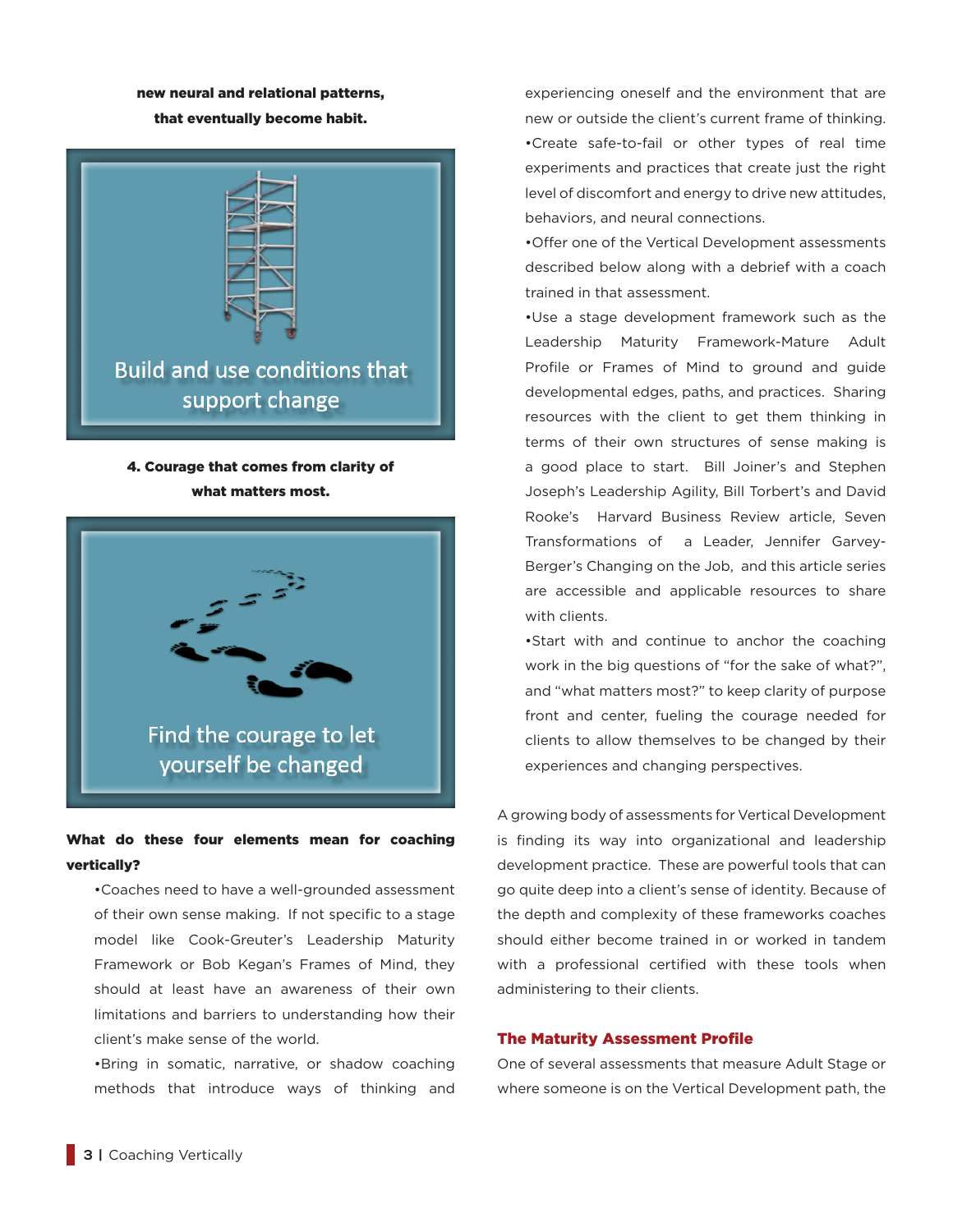### new neural and relational patterns, that eventually become habit.



# 4. Courage that comes from clarity of what matters most.



# What do these four elements mean for coaching vertically?

•Coaches need to have a well-grounded assessment of their own sense making. If not specific to a stage model like Cook-Greuter's Leadership Maturity Framework or Bob Kegan's Frames of Mind, they should at least have an awareness of their own limitations and barriers to understanding how their client's make sense of the world.

•Bring in somatic, narrative, or shadow coaching methods that introduce ways of thinking and experiencing oneself and the environment that are new or outside the client's current frame of thinking. •Create safe-to-fail or other types of real time experiments and practices that create just the right level of discomfort and energy to drive new attitudes, behaviors, and neural connections.

•Offer one of the Vertical Development assessments described below along with a debrief with a coach trained in that assessment.

•Use a stage development framework such as the Leadership Maturity Framework-Mature Adult Profile or Frames of Mind to ground and guide developmental edges, paths, and practices. Sharing resources with the client to get them thinking in terms of their own structures of sense making is a good place to start. Bill Joiner's and Stephen Joseph's Leadership Agility, Bill Torbert's and David Rooke's Harvard Business Review article, Seven Transformations of a Leader, Jennifer Garvey-Berger's Changing on the Job, and this article series are accessible and applicable resources to share with clients.

•Start with and continue to anchor the coaching work in the big questions of "for the sake of what?", and "what matters most?" to keep clarity of purpose front and center, fueling the courage needed for clients to allow themselves to be changed by their experiences and changing perspectives.

A growing body of assessments for Vertical Development is finding its way into organizational and leadership development practice. These are powerful tools that can go quite deep into a client's sense of identity. Because of the depth and complexity of these frameworks coaches should either become trained in or worked in tandem with a professional certified with these tools when administering to their clients.

### The Maturity Assessment Profile

One of several assessments that measure Adult Stage or where someone is on the Vertical Development path, the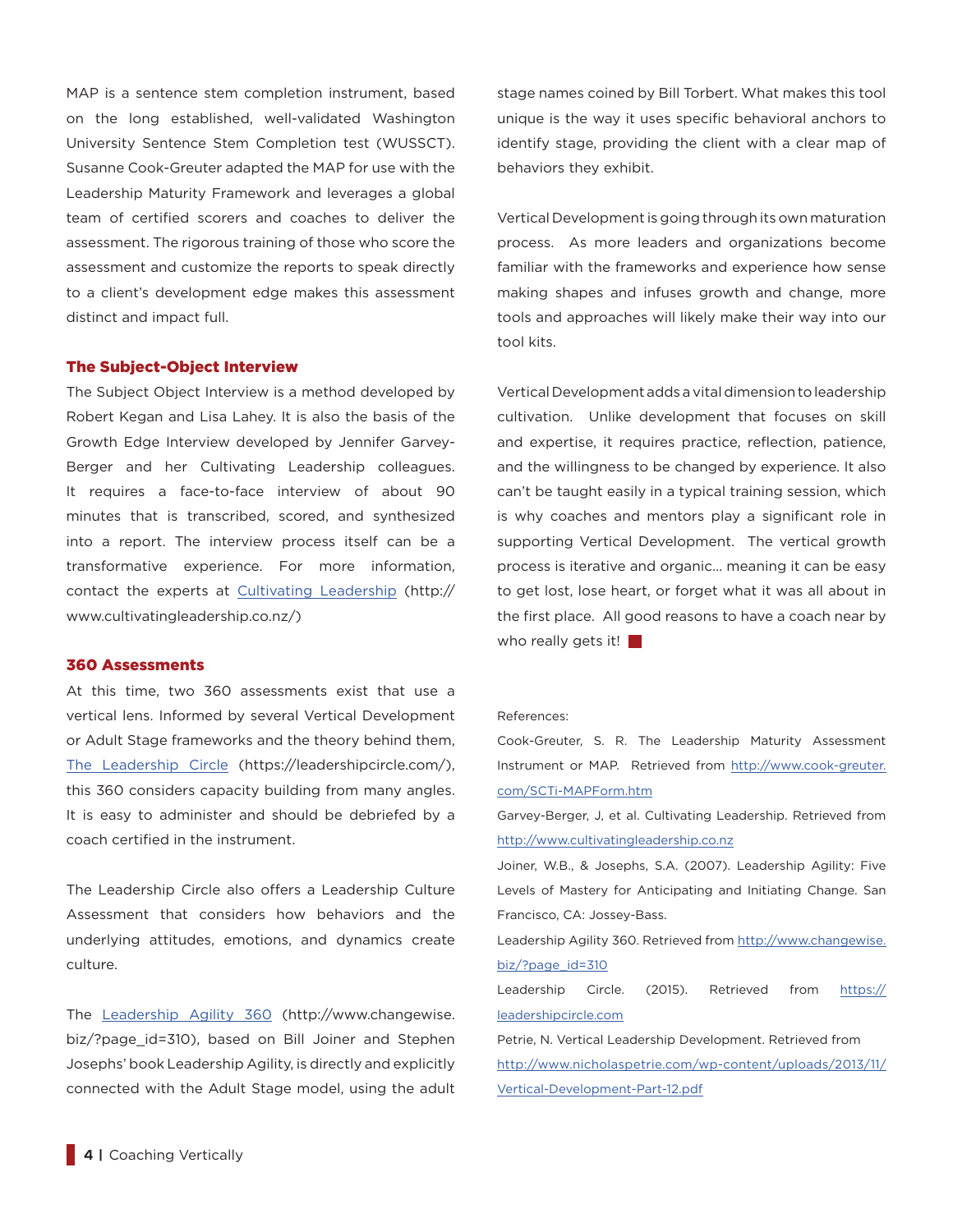MAP is a sentence stem completion instrument, based on the long established, well-validated Washington University Sentence Stem Completion test (WUSSCT). Susanne Cook-Greuter adapted the MAP for use with the Leadership Maturity Framework and leverages a global team of certified scorers and coaches to deliver the assessment. The rigorous training of those who score the assessment and customize the reports to speak directly to a client's development edge makes this assessment distinct and impact full.

### The Subject-Object Interview

The Subject Object Interview is a method developed by Robert Kegan and Lisa Lahey. It is also the basis of the Growth Edge Interview developed by Jennifer Garvey-Berger and her Cultivating Leadership colleagues. It requires a face-to-face interview of about 90 minutes that is transcribed, scored, and synthesized into a report. The interview process itself can be a transformative experience. For more information, contact the experts at Cultivating Leadership (http:// www.cultivatingleadership.co.nz/)

### 360 Assessments

At this time, two 360 assessments exist that use a vertical lens. Informed by several Vertical Development or Adult Stage frameworks and the theory behind them, The Leadership Circle (https://leadershipcircle.com/), this 360 considers capacity building from many angles. It is easy to administer and should be debriefed by a coach certified in the instrument.

The Leadership Circle also offers a Leadership Culture Assessment that considers how behaviors and the underlying attitudes, emotions, and dynamics create culture.

The Leadership Agility 360 (http://www.changewise. biz/?page\_id=310), based on Bill Joiner and Stephen Josephs' book Leadership Agility, is directly and explicitly connected with the Adult Stage model, using the adult stage names coined by Bill Torbert. What makes this tool unique is the way it uses specific behavioral anchors to identify stage, providing the client with a clear map of behaviors they exhibit.

Vertical Development is going through its own maturation process. As more leaders and organizations become familiar with the frameworks and experience how sense making shapes and infuses growth and change, more tools and approaches will likely make their way into our tool kits.

Vertical Development adds a vital dimension to leadership cultivation. Unlike development that focuses on skill and expertise, it requires practice, reflection, patience, and the willingness to be changed by experience. It also can't be taught easily in a typical training session, which is why coaches and mentors play a significant role in supporting Vertical Development. The vertical growth process is iterative and organic… meaning it can be easy to get lost, lose heart, or forget what it was all about in the first place. All good reasons to have a coach near by who really gets it!

#### References:

Cook-Greuter, S. R. The Leadership Maturity Assessment Instrument or MAP. Retrieved from http://www.cook-greuter. com/SCTi-MAPForm.htm

Garvey-Berger, J, et al. Cultivating Leadership. Retrieved from http://www.cultivatingleadership.co.nz

Joiner, W.B., & Josephs, S.A. (2007). Leadership Agility: Five Levels of Mastery for Anticipating and Initiating Change. San Francisco, CA: Jossey-Bass.

Leadership Agility 360. Retrieved from http://www.changewise. biz/?page\_id=310

Leadership Circle. (2015). Retrieved from https:// leadershipcircle.com

Petrie, N. Vertical Leadership Development. Retrieved from http://www.nicholaspetrie.com/wp-content/uploads/2013/11/ Vertical-Development-Part-12.pdf